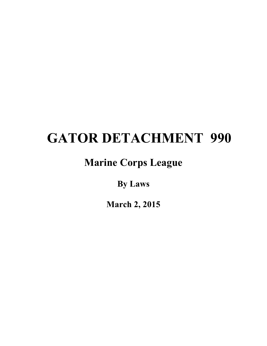# **GATOR DETACHMENT 990**

# **Marine Corps League**

**By Laws**

**March 2, 2015**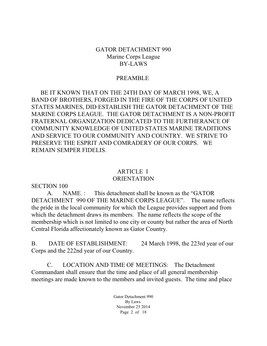#### GATOR DETACHMENT 990 Marine Corps League BY-LAWS

#### PREAMBLE

 BE IT KNOWN THAT ON THE 24TH DAY OF MARCH 1998, WE, A BAND OF BROTHERS, FORGED IN THE FIRE OF THE CORPS OF UNITED STATES MARINES, DID ESTABLISH THE GATOR DETACHMENT OF THE MARINE CORPS LEAGUE. THE GATOR DETACHMENT IS A NON-PROFIT FRATERNAL ORGANIZATION DEDICATED TO THE FURTHERANCE OF COMMUNITY KNOWLEDGE OF UNITED STATES MARINE TRADITIONS AND SERVICE TO OUR COMMUNITY AND COUNTRY. WE STRIVE TO PRESERVE THE ESPRIT AND COMRADERY OF OUR CORPS. WE REMAIN SEMPER FIDELIS.

#### ARTICLE I **ORIENTATION**

SECTION 100

A. NAME. : This detachment shall be known as the "GATOR DETACHMENT 990 OF THE MARINE CORPS LEAGUE". The name reflects the pride in the local community for which the League provides support and from which the detachment draws its members. The name reflects the scope of the membership which is not limited to one city or county but rather the area of North Central Florida affectionately known as Gator Country.

B. DATE OF ESTABLISHMENT: 24 March 1998, the 223rd year of our Corps and the 222nd year of our Country.

C. LOCATION AND TIME OF MEETINGS: The Detachment Commandant shall ensure that the time and place of all general membership meetings are made known to the members and invited guests. The time and place

> Gator Detachment 990 By Laws November 25 2014 Page 2 of 18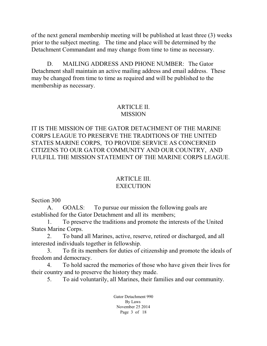of the next general membership meeting will be published at least three (3) weeks prior to the subject meeting. The time and place will be determined by the Detachment Commandant and may change from time to time as necessary.

D. MAILING ADDRESS AND PHONE NUMBER: The Gator Detachment shall maintain an active mailing address and email address. These may be changed from time to time as required and will be published to the membership as necessary.

#### ARTICLE II. **MISSION**

IT IS THE MISSION OF THE GATOR DETACHMENT OF THE MARINE CORPS LEAGUE TO PRESERVE THE TRADITIONS OF THE UNITED STATES MARINE CORPS, TO PROVIDE SERVICE AS CONCERNED CITIZENS TO OUR GATOR COMMUNITY AND OUR COUNTRY, AND FULFILL THE MISSION STATEMENT OF THE MARINE CORPS LEAGUE.

#### ARTICLE III. **EXECUTION**

Section 300

A. GOALS: To pursue our mission the following goals are established for the Gator Detachment and all its members;

1. To preserve the traditions and promote the interests of the United States Marine Corps.

2. To band all Marines, active, reserve, retired or discharged, and all interested individuals together in fellowship.

3. To fit its members for duties of citizenship and promote the ideals of freedom and democracy.

4. To hold sacred the memories of those who have given their lives for their country and to preserve the history they made.

5. To aid voluntarily, all Marines, their families and our community.

Gator Detachment 990 By Laws November 25 2014 Page 3 of 18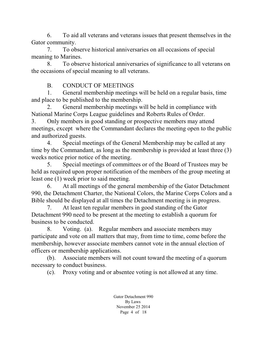6. To aid all veterans and veterans issues that present themselves in the Gator community.

7. To observe historical anniversaries on all occasions of special meaning to Marines.

8. To observe historical anniversaries of significance to all veterans on the occasions of special meaning to all veterans.

B. CONDUCT OF MEETINGS

1. General membership meetings will be held on a regular basis, time and place to be published to the membership.

2. General membership meetings will be held in compliance with National Marine Corps League guidelines and Roberts Rules of Order.

3. Only members in good standing or prospective members may attend meetings, except where the Commandant declares the meeting open to the public and authorized guests.

4. Special meetings of the General Membership may be called at any time by the Commandant, as long as the membership is provided at least three (3) weeks notice prior notice of the meeting.

5. Special meetings of committees or of the Board of Trustees may be held as required upon proper notification of the members of the group meeting at least one (1) week prior to said meeting.

6. At all meetings of the general membership of the Gator Detachment 990, the Detachment Charter, the National Colors, the Marine Corps Colors and a Bible should be displayed at all times the Detachment meeting is in progress.

7. At least ten regular members in good standing of the Gator Detachment 990 need to be present at the meeting to establish a quorum for business to be conducted.

8. Voting. (a). Regular members and associate members may participate and vote on all matters that may, from time to time, come before the membership, however associate members cannot vote in the annual election of officers or membership applications.

(b). Associate members will not count toward the meeting of a quorum necessary to conduct business.

(c). Proxy voting and or absentee voting is not allowed at any time.

Gator Detachment 990 By Laws November 25 2014 Page 4 of 18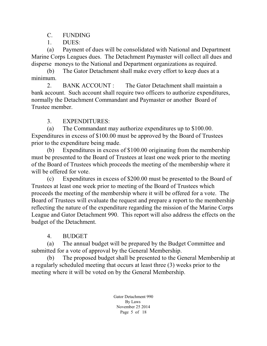C. FUNDING

1. DUES:

(a) Payment of dues will be consolidated with National and Department Marine Corps Leagues dues. The Detachment Paymaster will collect all dues and disperse moneys to the National and Department organizations as required.

(b) The Gator Detachment shall make every effort to keep dues at a minimum.

2. BANK ACCOUNT : The Gator Detachment shall maintain a bank account. Such account shall require two officers to authorize expenditures, normally the Detachment Commandant and Paymaster or another Board of Trustee member.

3. EXPENDITURES:

(a) The Commandant may authorize expenditures up to \$100.00. Expenditures in excess of \$100.00 must be approved by the Board of Trustees prior to the expenditure being made.

(b) Expenditures in excess of \$100.00 originating from the membership must be presented to the Board of Trustees at least one week prior to the meeting of the Board of Trustees which proceeds the meeting of the membership where it will be offered for vote.

(c) Expenditures in excess of \$200.00 must be presented to the Board of Trustees at least one week prior to meeting of the Board of Trustees which proceeds the meeting of the membership where it will be offered for a vote. The Board of Trustees will evaluate the request and prepare a report to the membership reflecting the nature of the expenditure regarding the mission of the Marine Corps League and Gator Detachment 990. This report will also address the effects on the budget of the Detachment.

4. BUDGET

(a) The annual budget will be prepared by the Budget Committee and submitted for a vote of approval by the General Membership.

(b) The proposed budget shall be presented to the General Membership at a regularly scheduled meeting that occurs at least three (3) weeks prior to the meeting where it will be voted on by the General Membership.

> Gator Detachment 990 By Laws November 25 2014 Page 5 of 18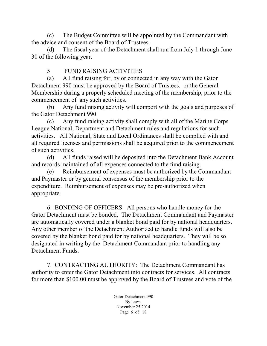(c) The Budget Committee will be appointed by the Commandant with the advice and consent of the Board of Trustees.

(d) The fiscal year of the Detachment shall run from July 1 through June 30 of the following year.

# 5 FUND RAISING ACTIVITIES

(a) All fund raising for, by or connected in any way with the Gator Detachment 990 must be approved by the Board of Trustees, or the General Membership during a properly scheduled meeting of the membership, prior to the commencement of any such activities.

(b) Any fund raising activity will comport with the goals and purposes of the Gator Detachment 990.

(c) Any fund raising activity shall comply with all of the Marine Corps League National, Department and Detachment rules and regulations for such activities. All National, State and Local Ordinances shall be complied with and all required licenses and permissions shall be acquired prior to the commencement of such activities.

(d) All funds raised will be deposited into the Detachment Bank Account and records maintained of all expenses connected to the fund raising.

(e) Reimbursement of expenses must be authorized by the Commandant and Paymaster or by general consensus of the membership prior to the expenditure. Reimbursement of expenses may be pre-authorized when appropriate.

6. BONDING OF OFFICERS: All persons who handle money for the Gator Detachment must be bonded. The Detachment Commandant and Paymaster are automatically covered under a blanket bond paid for by national headquarters. Any other member of the Detachment Authorized to handle funds will also be covered by the blanket bond paid for by national headquarters. They will be so designated in writing by the Detachment Commandant prior to handling any Detachment Funds.

7. CONTRACTING AUTHORITY: The Detachment Commandant has authority to enter the Gator Detachment into contracts for services. All contracts for more than \$100.00 must be approved by the Board of Trustees and vote of the

> Gator Detachment 990 By Laws November 25 2014 Page 6 of 18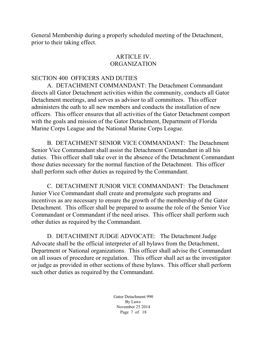General Membership during a properly scheduled meeting of the Detachment, prior to their taking effect.

#### ARTICLE IV. ORGANIZATION

#### SECTION 400 OFFICERS AND DUTIES

A. DETACHMENT COMMANDANT: The Detachment Commandant directs all Gator Detachment activities within the community, conducts all Gator Detachment meetings, and serves as advisor to all committees. This officer administers the oath to all new members and conducts the installation of new officers. This officer ensures that all activities of the Gator Detachment comport with the goals and mission of the Gator Detachment, Department of Florida Marine Corps League and the National Marine Corps League.

B. DETACHMENT SENIOR VICE COMMANDANT: The Detachment Senior Vice Commandant shall assist the Detachment Commandant in all his duties. This officer shall take over in the absence of the Detachment Commandant those duties necessary for the normal function of the Detachment. This officer shall perform such other duties as required by the Commandant.

C. DETACHMENT JUNIOR VICE COMMANDANT: The Detachment Junior Vice Commandant shall create and promulgate such programs and incentives as are necessary to ensure the growth of the membership of the Gator Detachment. This officer shall be prepared to assume the role of the Senior Vice Commandant or Commandant if the need arises. This officer shall perform such other duties as required by the Commandant.

D. DETACHMENT JUDGE ADVOCATE: The Detachment Judge Advocate shall be the official interpreter of all bylaws from the Detachment, Department or National organizations. This officer shall advise the Commandant on all issues of procedure or regulation. This officer shall act as the investigator or judge as provided in other sections of these bylaws. This officer shall perform such other duties as required by the Commandant.

> Gator Detachment 990 By Laws November 25 2014 Page 7 of 18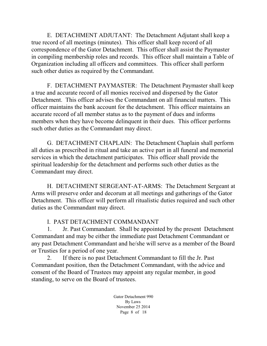E. DETACHMENT ADJUTANT: The Detachment Adjutant shall keep a true record of all meetings (minutes). This officer shall keep record of all correspondence of the Gator Detachment. This officer shall assist the Paymaster in compiling membership roles and records. This officer shall maintain a Table of Organization including all officers and committees. This officer shall perform such other duties as required by the Commandant.

F. DETACHMENT PAYMASTER: The Detachment Paymaster shall keep a true and accurate record of all monies received and dispersed by the Gator Detachment. This officer advises the Commandant on all financial matters. This officer maintains the bank account for the detachment. This officer maintains an accurate record of all member status as to the payment of dues and informs members when they have become delinquent in their dues. This officer performs such other duties as the Commandant may direct.

G. DETACHMENT CHAPLAIN: The Detachment Chaplain shall perform all duties as prescribed in ritual and take an active part in all funeral and memorial services in which the detachment participates. This officer shall provide the spiritual leadership for the detachment and performs such other duties as the Commandant may direct.

H. DETACHMENT SERGEANT-AT-ARMS: The Detachment Sergeant at Arms will preserve order and decorum at all meetings and gatherings of the Gator Detachment. This officer will perform all ritualistic duties required and such other duties as the Commandant may direct.

# I. PAST DETACHMENT COMMANDANT

1. Jr. Past Commandant. Shall be appointed by the present Detachment Commandant and may be either the immediate past Detachment Commandant or any past Detachment Commandant and he/she will serve as a member of the Board or Trusties for a period of one year.

2. If there is no past Detachment Commandant to fill the Jr. Past Commandant position, then the Detachment Commandant, with the advice and consent of the Board of Trustees may appoint any regular member, in good standing, to serve on the Board of trustees.

> Gator Detachment 990 By Laws November 25 2014 Page 8 of 18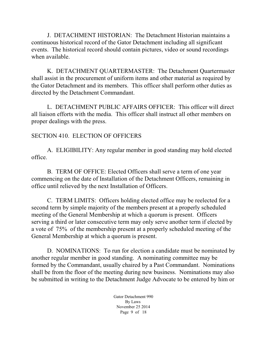J. DETACHMENT HISTORIAN: The Detachment Historian maintains a continuous historical record of the Gator Detachment including all significant events. The historical record should contain pictures, video or sound recordings when available.

K. DETACHMENT QUARTERMASTER: The Detachment Quartermaster shall assist in the procurement of uniform items and other material as required by the Gator Detachment and its members. This officer shall perform other duties as directed by the Detachment Commandant.

L. DETACHMENT PUBLIC AFFAIRS OFFICER: This officer will direct all liaison efforts with the media. This officer shall instruct all other members on proper dealings with the press.

#### SECTION 410. ELECTION OF OFFICERS

A. ELIGIBILITY: Any regular member in good standing may hold elected office.

B. TERM OF OFFICE: Elected Officers shall serve a term of one year commencing on the date of Installation of the Detachment Officers, remaining in office until relieved by the next Installation of Officers.

C. TERM LIMITS: Officers holding elected office may be reelected for a second term by simple majority of the members present at a properly scheduled meeting of the General Membership at which a quorum is present. Officers serving a third or later consecutive term may only serve another term if elected by a vote of 75% of the membership present at a properly scheduled meeting of the General Membership at which a quorum is present.

D. NOMINATIONS: To run for election a candidate must be nominated by another regular member in good standing. A nominating committee may be formed by the Commandant, usually chaired by a Past Commandant. Nominations shall be from the floor of the meeting during new business. Nominations may also be submitted in writing to the Detachment Judge Advocate to be entered by him or

> Gator Detachment 990 By Laws November 25 2014 Page 9 of 18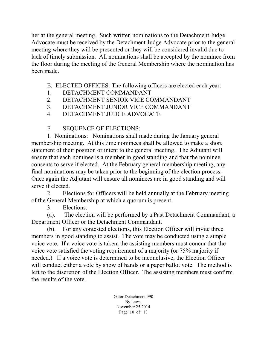her at the general meeting. Such written nominations to the Detachment Judge Advocate must be received by the Detachment Judge Advocate prior to the general meeting where they will be presented or they will be considered invalid due to lack of timely submission. All nominations shall be accepted by the nominee from the floor during the meeting of the General Membership where the nomination has been made.

- E. ELECTED OFFICES: The following officers are elected each year:
- 1. DETACHMENT COMMANDANT
- 2. DETACHMENT SENIOR VICE COMMANDANT
- 3. DETACHMENT JUNIOR VICE COMMANDANT
- 4. DETACHMENT JUDGE ADVOCATE
- F. SEQUENCE OF ELECTIONS:

1. Nominations: Nominations shall made during the January general membership meeting. At this time nominees shall be allowed to make a short statement of their position or intent to the general meeting. The Adjutant will ensure that each nominee is a member in good standing and that the nominee consents to serve if elected. At the February general membership meeting, any final nominations may be taken prior to the beginning of the election process. Once again the Adjutant will ensure all nominees are in good standing and will serve if elected.

2. Elections for Officers will be held annually at the February meeting of the General Membership at which a quorum is present.

3. Elections:

(a). The election will be performed by a Past Detachment Commandant, a Department Officer or the Detachment Commandant.

(b). For any contested elections, this Election Officer will invite three members in good standing to assist. The vote may be conducted using a simple voice vote. If a voice vote is taken, the assisting members must concur that the voice vote satisfied the voting requirement of a majority (or 75% majority if needed.) If a voice vote is determined to be inconclusive, the Election Officer will conduct either a vote by show of hands or a paper ballot vote. The method is left to the discretion of the Election Officer. The assisting members must confirm the results of the vote.

> Gator Detachment 990 By Laws November 25 2014 Page 10 of 18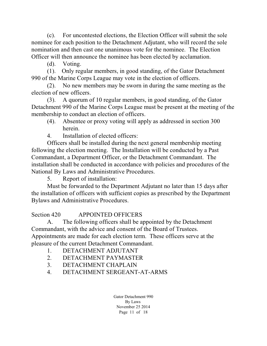(c). For uncontested elections, the Election Officer will submit the sole nominee for each position to the Detachment Adjutant, who will record the sole nomination and then cast one unanimous vote for the nominee. The Election Officer will then announce the nominee has been elected by acclamation.

(d). Voting.

(1). Only regular members, in good standing, of the Gator Detachment 990 of the Marine Corps League may vote in the election of officers.

(2). No new members may be sworn in during the same meeting as the election of new officers.

(3). A quorum of 10 regular members, in good standing, of the Gator Detachment 990 of the Marine Corps League must be present at the meeting of the membership to conduct an election of officers.

- (4). Absentee or proxy voting will apply as addressed in section 300 herein.
- 4. Installation of elected officers:

Officers shall be installed during the next general membership meeting following the election meeting. The Installation will be conducted by a Past Commandant, a Department Officer, or the Detachment Commandant. The installation shall be conducted in accordance with policies and procedures of the National By Laws and Administrative Procedures.

5. Report of installation:

Must be forwarded to the Department Adjutant no later than 15 days after the installation of officers with sufficient copies as prescribed by the Department Bylaws and Administrative Procedures.

Section 420 APPOINTED OFFICERS

A. The following officers shall be appointed by the Detachment Commandant, with the advice and consent of the Board of Trustees. Appointments are made for each election term. These officers serve at the pleasure of the current Detachment Commandant.

- 1. DETACHMENT ADJUTANT
- 2. DETACHMENT PAYMASTER
- 3. DETACHMENT CHAPLAIN
- 4. DETACHMENT SERGEANT-AT-ARMS

Gator Detachment 990 By Laws November 25 2014 Page 11 of 18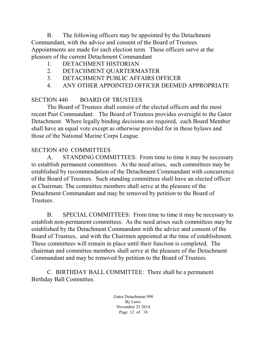B. The following officers may be appointed by the Detachment Commandant, with the advice and consent of the Board of Trustees. Appointments are made for each election term. These officers serve at the pleasure of the current Detachment Commandant

- 1. DETACHMENT HISTORIAN
- 2. DETACHMENT QUARTERMASTER
- 3. DETACHMENT PUBLIC AFFAIRS OFFICER
- 4. ANY OTHER APPOINTED OFFICER DEEMED APPROPRIATE

# SECTION 440 BOARD OF TRUSTEES

The Board of Trustees shall consist of the elected officers and the most recent Past Commandant. The Board of Trustees provides oversight to the Gator Detachment. Where legally binding decisions are required, each Board Member shall have an equal vote except as otherwise provided for in these bylaws and those of the National Marine Corps League.

#### SECTION 450 COMMITTEES

A. STANDING COMMITTEES: From time to time it may be necessary to establish permanent committees. As the need arises, such committees may be established by recommendation of the Detachment Commandant with concurrence of the Board of Trustees. Such standing committees shall have an elected officer as Chairman. The committee members shall serve at the pleasure of the Detachment Commandant and may be removed by petition to the Board of Trustees.

B. SPECIAL COMMITTEES: From time to time it may be necessary to establish non-permanent committees. As the need arises such committees may be established by the Detachment Commandant with the advice and consent of the Board of Trustees, and with the Chairmen appointed at the time of establishment. These committees will remain in place until their function is completed. The chairman and committee members shall serve at the pleasure of the Detachment Commandant and may be removed by petition to the Board of Trustees.

C. BIRTHDAY BALL COMMITTEE: There shall be a permanent Birthday Ball Committee.

> Gator Detachment 990 By Laws November 25 2014 Page 12 of 18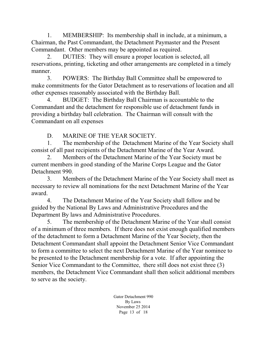1. MEMBERSHIP: Its membership shall in include, at a minimum, a Chairman, the Past Commandant, the Detachment Paymaster and the Present Commandant. Other members may be appointed as required.

2. DUTIES: They will ensure a proper location is selected, all reservations, printing, ticketing and other arrangements are completed in a timely manner.

3. POWERS: The Birthday Ball Committee shall be empowered to make commitments for the Gator Detachment as to reservations of location and all other expenses reasonably associated with the Birthday Ball.

4. BUDGET: The Birthday Ball Chairman is accountable to the Commandant and the detachment for responsible use of detachment funds in providing a birthday ball celebration. The Chairman will consult with the Commandant on all expenses

D. MARINE OF THE YEAR SOCIETY.

1. The membership of the Detachment Marine of the Year Society shall consist of all past recipients of the Detachment Marine of the Year Award.

2. Members of the Detachment Marine of the Year Society must be current members in good standing of the Marine Corps League and the Gator Detachment 990.

3. Members of the Detachment Marine of the Year Society shall meet as necessary to review all nominations for the next Detachment Marine of the Year award.

4. The Detachment Marine of the Year Society shall follow and be guided by the National By Laws and Administrative Procedures and the Department By laws and Administrative Procedures.

5. The membership of the Detachment Marine of the Year shall consist of a minimum of three members. If there does not exist enough qualified members of the detachment to form a Detachment Marine of the Year Society, then the Detachment Commandant shall appoint the Detachment Senior Vice Commandant to form a committee to select the next Detachment Marine of the Year nominee to be presented to the Detachment membership for a vote. If after appointing the Senior Vice Commandant to the Committee, there still does not exist three (3) members, the Detachment Vice Commandant shall then solicit additional members to serve as the society.

> Gator Detachment 990 By Laws November 25 2014 Page 13 of 18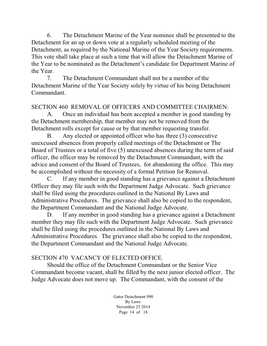6. The Detachment Marine of the Year nominee shall be presented to the Detachment for an up or down vote at a regularly scheduled meeting of the Detachment, as required by the National Marine of the Year Society requirements. This vote shall take place at such a time that will allow the Detachment Marine of the Year to be nominated as the Detachment's candidate for Department Marine of the Year.

7. The Detachment Commandant shall not be a member of the Detachment Marine of the Year Society solely by virtue of his being Detachment Commandant.

### SECTION 460 REMOVAL OF OFFICERS AND COMMITTEE CHAIRMEN:

A. Once an individual has been accepted a member in good standing by the Detachment membership, that member may not be removed from the Detachment rolls except for cause or by that member requesting transfer.

B. Any elected or appointed officer who has three (3) consecutive unexcused absences from properly called meetings of the Detachment or The Board of Trustees or a total of five (5) unexcused absences during the term of said officer, the officer may be removed by the Detachment Commandant, with the advice and consent of the Board of Trustees, for abandoning the office. This may be accomplished without the necessity of a formal Petition for Removal.

C. If any member in good standing has a grievance against a Detachment Officer they may file such with the Department Judge Advocate. Such grievance shall be filed using the procedures outlined in the National By Laws and Administrative Procedures. The grievance shall also be copied to the respondent, the Department Commandant and the National Judge Advocate.

D. If any member in good standing has a grievance against a Detachment member they may file such with the Department Judge Advocate. Such grievance shall be filed using the procedures outlined in the National By Laws and Administrative Procedures. The grievance shall also be copied to the respondent, the Department Commandant and the National Judge Advocate.

# SECTION 470 VACANCY OF ELECTED OFFICE.

Should the office of the Detachment Commandant or the Senior Vice Commandant become vacant, shall be filled by the next junior elected officer. The Judge Advocate does not move up. The Commandant, with the consent of the

> Gator Detachment 990 By Laws November 25 2014 Page 14 of 18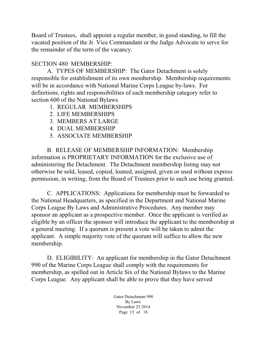Board of Trustees, shall appoint a regular member, in good standing, to fill the vacated position of the Jr. Vice Commandant or the Judge Advocate to serve for the remainder of the term of the vacancy.

#### SECTION 480 MEMBERSHIP:

A. TYPES OF MEMBERSHIP: The Gator Detachment is solely responsible for establishment of its own membership. Membership requirements will be in accordance with National Marine Corps League by-laws. For definitions, rights and responsibilities of each membership category refer to section 600 of the National Bylaws.

- 1. REGULAR MEMBERSHIPS
- 2. LIFE MEMBERSHIPS
- 3. MEMBERS AT LARGE
- 4. DUAL MEMBERSHIP
- 5. ASSOCIATE MEMBERSHIP

B. RELEASE OF MEMBERSHIP INFORMATION: Membership information is PROPRIETARY INFORMATION for the exclusive use of administering the Detachment. The Detachment membership listing may not otherwise be sold, leased, copied, loaned, assigned, given or used without express permission, in writing, from the Board of Trustees prior to such use being granted.

C. APPLICATIONS: Applications for membership must be forwarded to the National Headquarters, as specified in the Department and National Marine Corps League By Laws and Administrative Procedures. Any member may sponsor an applicant as a prospective member. Once the applicant is verified as eligible by an officer the sponsor will introduce the applicant to the membership at a general meeting. If a quorum is present a vote will be taken to admit the applicant. A simple majority vote of the quorum will suffice to allow the new membership.

D. ELIGIBILITY: An applicant for membership in the Gator Detachment 990 of the Marine Corps League shall comply with the requirements for membership, as spelled out in Article Six of the National Bylaws to the Marine Corps League. Any applicant shall be able to prove that they have served

> Gator Detachment 990 By Laws November 25 2014 Page 15 of 18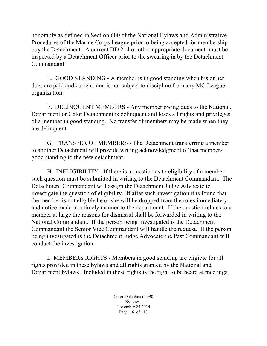honorably as defined in Section 600 of the National Bylaws and Administrative Procedures of the Marine Corps League prior to being accepted for membership buy the Detachment. A current DD 214 or other appropriate document must be inspected by a Detachment Officer prior to the swearing in by the Detachment Commandant.

E. GOOD STANDING - A member is in good standing when his or her dues are paid and current, and is not subject to discipline from any MC League organization.

F. DELINQUENT MEMBERS - Any member owing dues to the National, Department or Gator Detachment is delinquent and loses all rights and privileges of a member in good standing. No transfer of members may be made when they are delinquent.

G. TRANSFER OF MEMBERS - The Detachment transferring a member to another Detachment will provide writing acknowledgment of that members good standing to the new detachment.

H. INELIGIBILITY - If there is a question as to eligibility of a member such question must be submitted in writing to the Detachment Commandant. The Detachment Commandant will assign the Detachment Judge Advocate to investigate the question of eligibility. If after such investigation it is found that the member is not eligible he or she will be dropped from the roles immediately and notice made in a timely manner to the department. If the question relates to a member at large the reasons for dismissal shall be forwarded in writing to the National Commandant. If the person being investigated is the Detachment Commandant the Senior Vice Commandant will handle the request. If the person being investigated is the Detachment Judge Advocate the Past Commandant will conduct the investigation.

I. MEMBERS RIGHTS - Members in good standing are eligible for all rights provided in these bylaws and all rights granted by the National and Department bylaws. Included in these rights is the right to be heard at meetings,

> Gator Detachment 990 By Laws November 25 2014 Page 16 of 18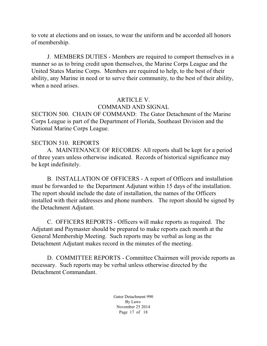to vote at elections and on issues, to wear the uniform and be accorded all honors of membership.

J. MEMBERS DUTIES - Members are required to comport themselves in a manner so as to bring credit upon themselves, the Marine Corps League and the United States Marine Corps. Members are required to help, to the best of their ability, any Marine in need or to serve their community, to the best of their ability, when a need arises.

#### ARTICLE V.

### COMMAND AND SIGNAL

SECTION 500. CHAIN OF COMMAND: The Gator Detachment of the Marine Corps League is part of the Department of Florida, Southeast Division and the National Marine Corps League.

#### SECTION 510. REPORTS

A. MAINTENANCE OF RECORDS: All reports shall be kept for a period of three years unless otherwise indicated. Records of historical significance may be kept indefinitely.

B. INSTALLATION OF OFFICERS - A report of Officers and installation must be forwarded to the Department Adjutant within 15 days of the installation. The report should include the date of installation, the names of the Officers installed with their addresses and phone numbers. The report should be signed by the Detachment Adjutant.

C. OFFICERS REPORTS - Officers will make reports as required. The Adjutant and Paymaster should be prepared to make reports each month at the General Membership Meeting. Such reports may be verbal as long as the Detachment Adjutant makes record in the minutes of the meeting.

D. COMMITTEE REPORTS - Committee Chairmen will provide reports as necessary. Such reports may be verbal unless otherwise directed by the Detachment Commandant.

> Gator Detachment 990 By Laws November 25 2014 Page 17 of 18